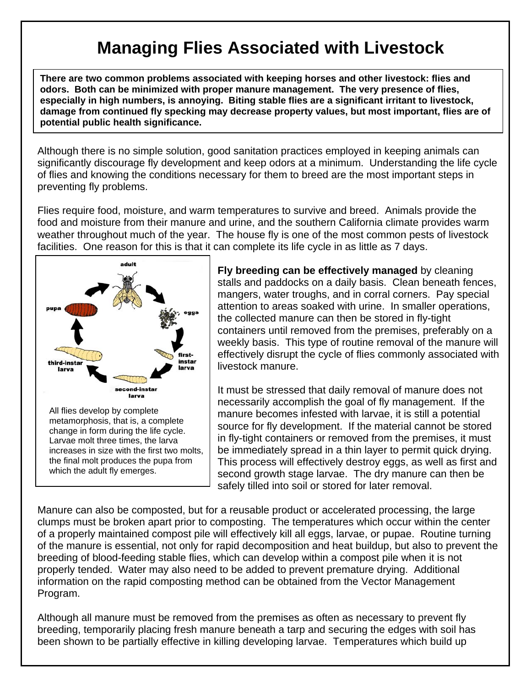## **Managing Flies Associated with Livestock**

**There are two common problems associated with keeping horses and other livestock: flies and odors. Both can be minimized with proper manure management. The very presence of flies, especially in high numbers, is annoying. Biting stable flies are a significant irritant to livestock, damage from continued fly specking may decrease property values, but most important, flies are of potential public health significance.** 

Although there is no simple solution, good sanitation practices employed in keeping animals can significantly discourage fly development and keep odors at a minimum. Understanding the life cycle of flies and knowing the conditions necessary for them to breed are the most important steps in preventing fly problems.

Flies require food, moisture, and warm temperatures to survive and breed. Animals provide the food and moisture from their manure and urine, and the southern California climate provides warm weather throughout much of the year. The house fly is one of the most common pests of livestock facilities. One reason for this is that it can complete its life cycle in as little as 7 days.



**Fly breeding can be effectively managed** by cleaning stalls and paddocks on a daily basis. Clean beneath fences, mangers, water troughs, and in corral corners. Pay special attention to areas soaked with urine. In smaller operations, the collected manure can then be stored in fly-tight containers until removed from the premises, preferably on a weekly basis. This type of routine removal of the manure will effectively disrupt the cycle of flies commonly associated with livestock manure.

It must be stressed that daily removal of manure does not necessarily accomplish the goal of fly management. If the manure becomes infested with larvae, it is still a potential source for fly development. If the material cannot be stored in fly-tight containers or removed from the premises, it must be immediately spread in a thin layer to permit quick drying. This process will effectively destroy eggs, as well as first and second growth stage larvae. The dry manure can then be safely tilled into soil or stored for later removal.

Manure can also be composted, but for a reusable product or accelerated processing, the large clumps must be broken apart prior to composting. The temperatures which occur within the center of a properly maintained compost pile will effectively kill all eggs, larvae, or pupae. Routine turning of the manure is essential, not only for rapid decomposition and heat buildup, but also to prevent the breeding of blood-feeding stable flies, which can develop within a compost pile when it is not properly tended. Water may also need to be added to prevent premature drying. Additional information on the rapid composting method can be obtained from the Vector Management Program.

Although all manure must be removed from the premises as often as necessary to prevent fly breeding, temporarily placing fresh manure beneath a tarp and securing the edges with soil has been shown to be partially effective in killing developing larvae. Temperatures which build up